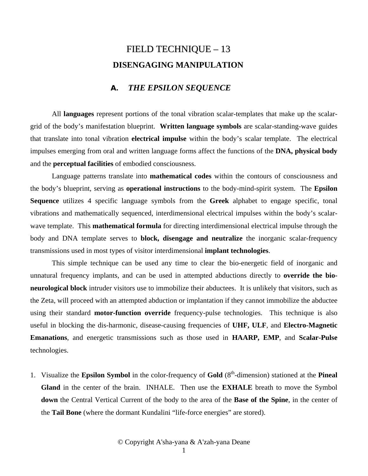## FIELD TECHNIQUE – 13  **DISENGAGING MANIPULATION**

## **A.** *THE EPSILON SEQUENCE*

All **languages** represent portions of the tonal vibration scalar-templates that make up the scalargrid of the body's manifestation blueprint. **Written language symbols** are scalar-standing-wave guides that translate into tonal vibration **electrical impulse** within the body's scalar template. The electrical impulses emerging from oral and written language forms affect the functions of the **DNA, physical body** and the **perceptual facilities** of embodied consciousness.

Language patterns translate into **mathematical codes** within the contours of consciousness and the body's blueprint, serving as **operational instructions** to the body-mind-spirit system. The **Epsilon Sequence** utilizes 4 specific language symbols from the **Greek** alphabet to engage specific, tonal vibrations and mathematically sequenced, interdimensional electrical impulses within the body's scalarwave template. This **mathematical formula** for directing interdimensional electrical impulse through the body and DNA template serves to **block, disengage and neutralize** the inorganic scalar-frequency transmissions used in most types of visitor interdimensional **implant technologies**.

This simple technique can be used any time to clear the bio-energetic field of inorganic and unnatural frequency implants, and can be used in attempted abductions directly to **override the bioneurological block** intruder visitors use to immobilize their abductees. It is unlikely that visitors, such as the Zeta, will proceed with an attempted abduction or implantation if they cannot immobilize the abductee using their standard **motor-function override** frequency-pulse technologies. This technique is also useful in blocking the dis-harmonic, disease-causing frequencies of **UHF, ULF**, and **Electro-Magnetic Emanations**, and energetic transmissions such as those used in **HAARP, EMP**, and **Scalar-Pulse** technologies.

1. Visualize the **Epsilon Symbol** in the color-frequency of **Gold** (8th-dimension) stationed at the **Pineal Gland** in the center of the brain. INHALE. Then use the **EXHALE** breath to move the Symbol **down** the Central Vertical Current of the body to the area of the **Base of the Spine**, in the center of the **Tail Bone** (where the dormant Kundalini "life-force energies" are stored).

© Copyright A'sha-yana & A'zah-yana Deane